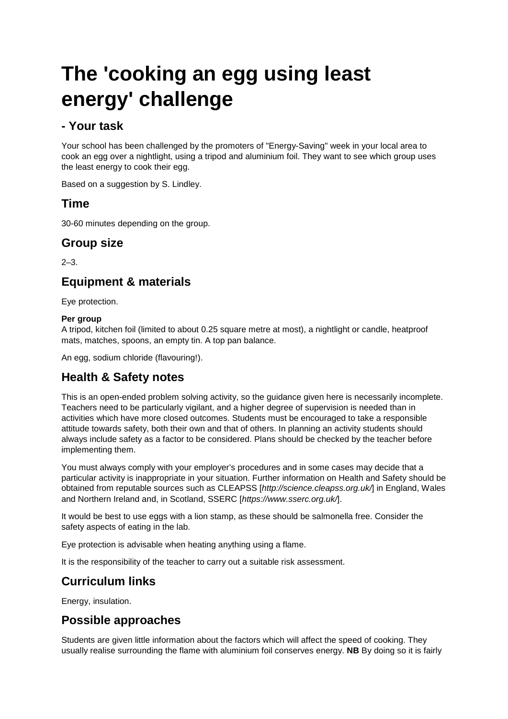# **The 'cooking an egg using least energy' challenge**

#### **- Your task**

Your school has been challenged by the promoters of "Energy-Saving" week in your local area to cook an egg over a nightlight, using a tripod and aluminium foil. They want to see which group uses the least energy to cook their egg.

Based on a suggestion by S. Lindley.

#### **Time**

30-60 minutes depending on the group.

#### **Group size**

 $2 - 3$ .

#### **Equipment & materials**

Eye protection.

#### **Per group**

A tripod, kitchen foil (limited to about 0.25 square metre at most), a nightlight or candle, heatproof mats, matches, spoons, an empty tin. A top pan balance.

An egg, sodium chloride (flavouring!).

# **Health & Safety notes**

This is an open-ended problem solving activity, so the guidance given here is necessarily incomplete. Teachers need to be particularly vigilant, and a higher degree of supervision is needed than in activities which have more closed outcomes. Students must be encouraged to take a responsible attitude towards safety, both their own and that of others. In planning an activity students should always include safety as a factor to be considered. Plans should be checked by the teacher before implementing them.

You must always comply with your employer's procedures and in some cases may decide that a particular activity is inappropriate in your situation. Further information on Health and Safety should be obtained from reputable sources such as CLEAPSS [*http://science.cleapss.org.uk/*] in England, Wales and Northern Ireland and, in Scotland, SSERC [*https://www.sserc.org.uk/*].

It would be best to use eggs with a lion stamp, as these should be salmonella free. Consider the safety aspects of eating in the lab.

Eye protection is advisable when heating anything using a flame.

It is the responsibility of the teacher to carry out a suitable risk assessment.

# **Curriculum links**

Energy, insulation.

#### **Possible approaches**

Students are given little information about the factors which will affect the speed of cooking. They usually realise surrounding the flame with aluminium foil conserves energy. **NB** By doing so it is fairly